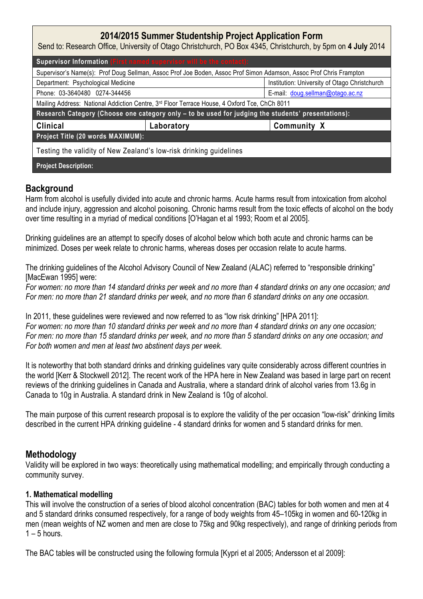| 2014/2015 Summer Studentship Project Application Form<br>Send to: Research Office, University of Otago Christchurch, PO Box 4345, Christchurch, by 5pm on 4 July 2014 |            |                                               |
|-----------------------------------------------------------------------------------------------------------------------------------------------------------------------|------------|-----------------------------------------------|
| Supervisor Information (First named supervisor will be the contact):                                                                                                  |            |                                               |
| Supervisor's Name(s): Prof Doug Sellman, Assoc Prof Joe Boden, Assoc Prof Simon Adamson, Assoc Prof Chris Frampton                                                    |            |                                               |
| Department: Psychological Medicine                                                                                                                                    |            | Institution: University of Otago Christchurch |
| Phone: 03-3640480 0274-344456                                                                                                                                         |            | E-mail: doug.sellman@otago.ac.nz              |
| Mailing Address: National Addiction Centre, 3rd Floor Terrace House, 4 Oxford Tce, ChCh 8011                                                                          |            |                                               |
| Research Category (Choose one category only - to be used for judging the students' presentations):                                                                    |            |                                               |
| <b>Clinical</b>                                                                                                                                                       | Laboratory | <b>Community X</b>                            |
| Project Title (20 words MAXIMUM):                                                                                                                                     |            |                                               |
| Testing the validity of New Zealand's low-risk drinking guidelines                                                                                                    |            |                                               |
| <b>Project Description:</b>                                                                                                                                           |            |                                               |

# Background

Harm from alcohol is usefully divided into acute and chronic harms. Acute harms result from intoxication from alcohol and include injury, aggression and alcohol poisoning. Chronic harms result from the toxic effects of alcohol on the body over time resulting in a myriad of medical conditions [O'Hagan et al 1993; Room et al 2005].

Drinking guidelines are an attempt to specify doses of alcohol below which both acute and chronic harms can be minimized. Doses per week relate to chronic harms, whereas doses per occasion relate to acute harms.

The drinking guidelines of the Alcohol Advisory Council of New Zealand (ALAC) referred to "responsible drinking" [MacEwan 1995] were:

For women: no more than 14 standard drinks per week and no more than 4 standard drinks on any one occasion; and For men: no more than 21 standard drinks per week, and no more than 6 standard drinks on any one occasion.

In 2011, these guidelines were reviewed and now referred to as "low risk drinking" [HPA 2011]: For women: no more than 10 standard drinks per week and no more than 4 standard drinks on any one occasion; For men: no more than 15 standard drinks per week, and no more than 5 standard drinks on any one occasion; and For both women and men at least two abstinent days per week.

It is noteworthy that both standard drinks and drinking guidelines vary quite considerably across different countries in the world [Kerr & Stockwell 2012]. The recent work of the HPA here in New Zealand was based in large part on recent reviews of the drinking guidelines in Canada and Australia, where a standard drink of alcohol varies from 13.6g in Canada to 10g in Australia. A standard drink in New Zealand is 10g of alcohol.

The main purpose of this current research proposal is to explore the validity of the per occasion "low-risk" drinking limits described in the current HPA drinking guideline - 4 standard drinks for women and 5 standard drinks for men.

## Methodology

Validity will be explored in two ways: theoretically using mathematical modelling; and empirically through conducting a community survey.

### 1. Mathematical modelling

This will involve the construction of a series of blood alcohol concentration (BAC) tables for both women and men at 4 and 5 standard drinks consumed respectively, for a range of body weights from 45–105kg in women and 60-120kg in men (mean weights of NZ women and men are close to 75kg and 90kg respectively), and range of drinking periods from  $1 - 5$  hours.

The BAC tables will be constructed using the following formula [Kypri et al 2005; Andersson et al 2009]: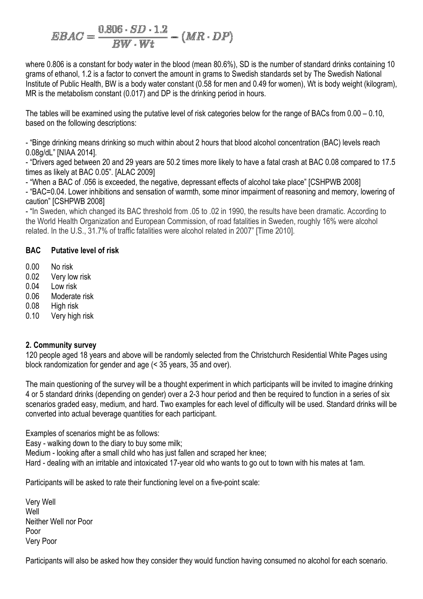$$
EBAC = \frac{0.806 \cdot SD \cdot 1.2}{BW \cdot Wt} - (MR \cdot DP)
$$

where 0.806 is a constant for body water in the blood (mean 80.6%), SD is the number of standard drinks containing 10 grams of ethanol, 1.2 is a factor to convert the amount in grams to Swedish standards set by The Swedish National Institute of Public Health, BW is a body water constant (0.58 for men and 0.49 for women), Wt is body weight (kilogram), MR is the metabolism constant (0.017) and DP is the drinking period in hours.

The tables will be examined using the putative level of risk categories below for the range of BACs from 0.00 – 0.10, based on the following descriptions:

- "Binge drinking means drinking so much within about 2 hours that blood alcohol concentration (BAC) levels reach 0.08g/dL" [NIAA 2014].

- "Drivers aged between 20 and 29 years are 50.2 times more likely to have a fatal crash at BAC 0.08 compared to 17.5 times as likely at BAC 0.05". [ALAC 2009]

- "When a BAC of .056 is exceeded, the negative, depressant effects of alcohol take place" [CSHPWB 2008]

- "BAC=0.04. Lower inhibitions and sensation of warmth, some minor impairment of reasoning and memory, lowering of caution" [CSHPWB 2008]

- "In Sweden, which changed its BAC threshold from .05 to .02 in 1990, the results have been dramatic. According to the World Health Organization and European Commission, of road fatalities in Sweden, roughly 16% were alcohol related. In the U.S., 31.7% of traffic fatalities were alcohol related in 2007" [Time 2010].

### BAC Putative level of risk

- 0.00 No risk
- 0.02 Very low risk
- 0.04 Low risk
- 0.06 Moderate risk
- 0.08 High risk
- 0.10 Very high risk

#### 2. Community survey

120 people aged 18 years and above will be randomly selected from the Christchurch Residential White Pages using block randomization for gender and age (< 35 years, 35 and over).

The main questioning of the survey will be a thought experiment in which participants will be invited to imagine drinking 4 or 5 standard drinks (depending on gender) over a 2-3 hour period and then be required to function in a series of six scenarios graded easy, medium, and hard. Two examples for each level of difficulty will be used. Standard drinks will be converted into actual beverage quantities for each participant.

Examples of scenarios might be as follows:

Easy - walking down to the diary to buy some milk;

Medium - looking after a small child who has just fallen and scraped her knee;

Hard - dealing with an irritable and intoxicated 17-year old who wants to go out to town with his mates at 1am.

Participants will be asked to rate their functioning level on a five-point scale:

Very Well Well Neither Well nor Poor Poor Very Poor

Participants will also be asked how they consider they would function having consumed no alcohol for each scenario.